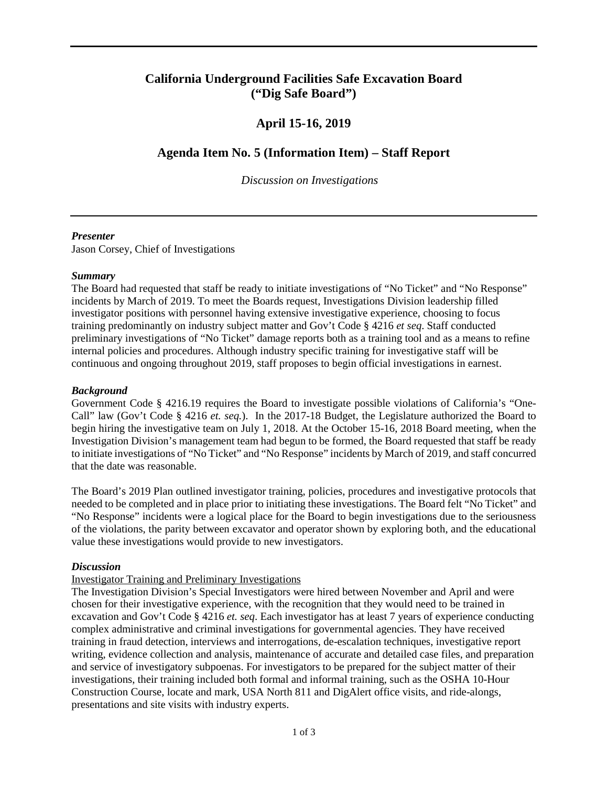# **California Underground Facilities Safe Excavation Board ("Dig Safe Board")**

# **April 15-16, 2019**

# **Agenda Item No. 5 (Information Item) – Staff Report**

 *Discussion on Investigations* 

### *Presenter*

Jason Corsey, Chief of Investigations

## *Summary*

 The Board had requested that staff be ready to initiate investigations of "No Ticket" and "No Response" investigator positions with personnel having extensive investigative experience, choosing to focus preliminary investigations of "No Ticket" damage reports both as a training tool and as a means to refine continuous and ongoing throughout 2019, staff proposes to begin official investigations in earnest. incidents by March of 2019. To meet the Boards request, Investigations Division leadership filled training predominantly on industry subject matter and Gov't Code § 4216 *et seq*. Staff conducted internal policies and procedures. Although industry specific training for investigative staff will be

# *Background*

 Call" law (Gov't Code § 4216 *et. seq.*). In the 2017-18 Budget, the Legislature authorized the Board to that the date was reasonable. Government Code § 4216.19 requires the Board to investigate possible violations of California's "Onebegin hiring the investigative team on July 1, 2018. At the October 15-16, 2018 Board meeting, when the Investigation Division's management team had begun to be formed, the Board requested that staff be ready to initiate investigations of "No Ticket" and "No Response" incidents by March of 2019, and staff concurred

 The Board's 2019 Plan outlined investigator training, policies, procedures and investigative protocols that needed to be completed and in place prior to initiating these investigations. The Board felt "No Ticket" and "No Response" incidents were a logical place for the Board to begin investigations due to the seriousness of the violations, the parity between excavator and operator shown by exploring both, and the educational value these investigations would provide to new investigators.

### *Discussion*

# Investigator Training and Preliminary Investigations

 The Investigation Division's Special Investigators were hired between November and April and were chosen for their investigative experience, with the recognition that they would need to be trained in excavation and Gov't Code § 4216 *et. seq*. Each investigator has at least 7 years of experience conducting writing, evidence collection and analysis, maintenance of accurate and detailed case files, and preparation and service of investigatory subpoenas. For investigators to be prepared for the subject matter of their investigations, their training included both formal and informal training, such as the OSHA 10-Hour complex administrative and criminal investigations for governmental agencies. They have received training in fraud detection, interviews and interrogations, de-escalation techniques, investigative report Construction Course, locate and mark, USA North 811 and DigAlert office visits, and ride-alongs, presentations and site visits with industry experts.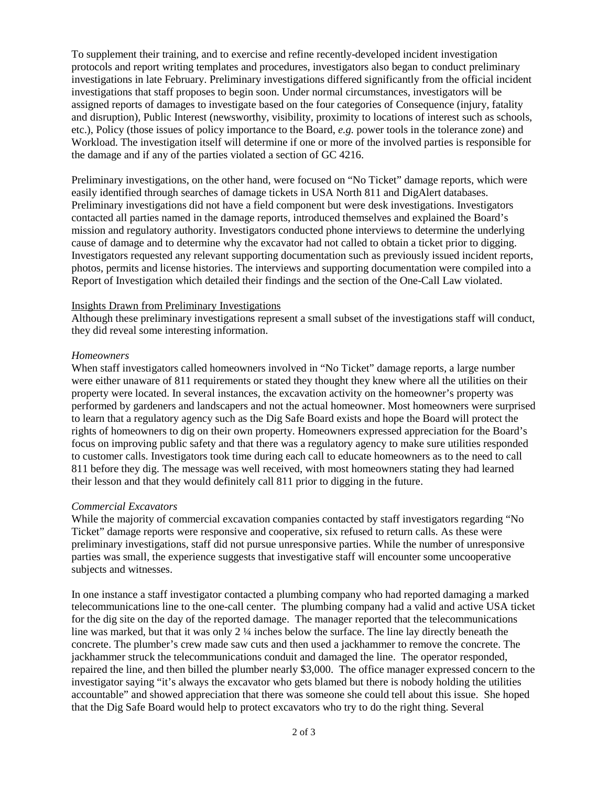To supplement their training, and to exercise and refine recently-developed incident investigation etc.), Policy (those issues of policy importance to the Board, *e.g.* power tools in the tolerance zone) and the damage and if any of the parties violated a section of GC 4216. protocols and report writing templates and procedures, investigators also began to conduct preliminary investigations in late February. Preliminary investigations differed significantly from the official incident investigations that staff proposes to begin soon. Under normal circumstances, investigators will be assigned reports of damages to investigate based on the four categories of Consequence (injury, fatality and disruption), Public Interest (newsworthy, visibility, proximity to locations of interest such as schools, Workload. The investigation itself will determine if one or more of the involved parties is responsible for

 easily identified through searches of damage tickets in USA North 811 and DigAlert databases. contacted all parties named in the damage reports, introduced themselves and explained the Board's Report of Investigation which detailed their findings and the section of the One-Call Law violated. Preliminary investigations, on the other hand, were focused on "No Ticket" damage reports, which were Preliminary investigations did not have a field component but were desk investigations. Investigators mission and regulatory authority. Investigators conducted phone interviews to determine the underlying cause of damage and to determine why the excavator had not called to obtain a ticket prior to digging. Investigators requested any relevant supporting documentation such as previously issued incident reports, photos, permits and license histories. The interviews and supporting documentation were compiled into a

#### Insights Drawn from Preliminary Investigations

Although these preliminary investigations represent a small subset of the investigations staff will conduct, they did reveal some interesting information.

#### *Homeowners*

 were either unaware of 811 requirements or stated they thought they knew where all the utilities on their performed by gardeners and landscapers and not the actual homeowner. Most homeowners were surprised to learn that a regulatory agency such as the Dig Safe Board exists and hope the Board will protect the rights of homeowners to dig on their own property. Homeowners expressed appreciation for the Board's their lesson and that they would definitely call 811 prior to digging in the future. When staff investigators called homeowners involved in "No Ticket" damage reports, a large number property were located. In several instances, the excavation activity on the homeowner's property was focus on improving public safety and that there was a regulatory agency to make sure utilities responded to customer calls. Investigators took time during each call to educate homeowners as to the need to call 811 before they dig. The message was well received, with most homeowners stating they had learned

### *Commercial Excavators*

 While the majority of commercial excavation companies contacted by staff investigators regarding "No preliminary investigations, staff did not pursue unresponsive parties. While the number of unresponsive subjects and witnesses. Ticket" damage reports were responsive and cooperative, six refused to return calls. As these were parties was small, the experience suggests that investigative staff will encounter some uncooperative

 line was marked, but that it was only 2 ¼ inches below the surface. The line lay directly beneath the concrete. The plumber's crew made saw cuts and then used a jackhammer to remove the concrete. The jackhammer struck the telecommunications conduit and damaged the line. The operator responded, In one instance a staff investigator contacted a plumbing company who had reported damaging a marked telecommunications line to the one-call center. The plumbing company had a valid and active USA ticket for the dig site on the day of the reported damage. The manager reported that the telecommunications repaired the line, and then billed the plumber nearly \$3,000. The office manager expressed concern to the investigator saying "it's always the excavator who gets blamed but there is nobody holding the utilities accountable" and showed appreciation that there was someone she could tell about this issue. She hoped that the Dig Safe Board would help to protect excavators who try to do the right thing. Several